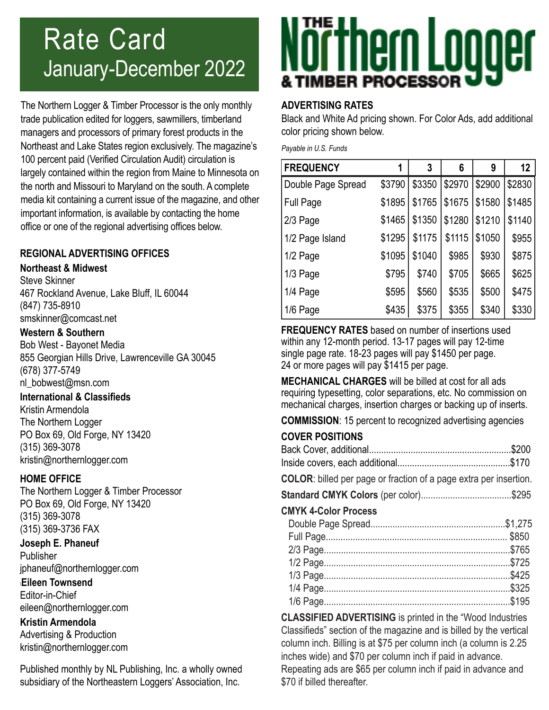# Rate Card January-December 2022

The Northern Logger & Timber Processor is the only monthly trade publication edited for loggers, sawmillers, timberland managers and processors of primary forest products in the Northeast and Lake States region exclusively. The magazine's 100 percent paid (Verified Circulation Audit) circulation is largely contained within the region from Maine to Minnesota on the north and Missouri to Maryland on the south. A complete media kit containing a current issue of the magazine, and other important information, is available by contacting the home office or one of the regional advertising offices below.

## **REGIONAL ADVERTISING OFFICES**

### **Northeast & Midwest**

Steve Skinner 467 Rockland Avenue, Lake Bluff, IL 60044 (847) 735-8910 smskinner@comcast.net

### **Western & Southern**

Bob West - Bayonet Media 855 Georgian Hills Drive, Lawrenceville GA 30045 (678) 377-5749 nl\_bobwest@msn.com

### **International & Classifieds**

Kristin Armendola The Northern Logger PO Box 69, Old Forge, NY 13420 (315) 369-3078 kristin@northernlogger.com

### **HOME OFFICE**

The Northern Logger & Timber Processor PO Box 69, Old Forge, NY 13420 (315) 369-3078 (315) 369-3736 FAX

# **Joseph E. Phaneuf Publisher**

jphaneuf@northernlogger.com \**Eileen Townsend**

# Editor-in-Chief eileen@northernlogger.com

**Kristin Armendola** Advertising & Production kristin@northernlogger.com

Published monthly by NL Publishing, Inc. a wholly owned subsidiary of the Northeastern Loggers' Association, Inc.

# Nörthern Loooer

### **ADVERTISING RATES**

Black and White Ad pricing shown. For Color Ads, add additional color pricing shown below.

*Payable in U.S. Funds*

| <b>FREQUENCY</b>   | 1      | 3      | 6      | 9      | 12     |
|--------------------|--------|--------|--------|--------|--------|
| Double Page Spread | \$3790 | \$3350 | \$2970 | \$2900 | \$2830 |
| <b>Full Page</b>   | \$1895 | \$1765 | \$1675 | \$1580 | \$1485 |
| 2/3 Page           | \$1465 | \$1350 | \$1280 | \$1210 | \$1140 |
| 1/2 Page Island    | \$1295 | \$1175 | \$1115 | \$1050 | \$955  |
| 1/2 Page           | \$1095 | \$1040 | \$985  | \$930  | \$875  |
| 1/3 Page           | \$795  | \$740  | \$705  | \$665  | \$625  |
| 1/4 Page           | \$595  | \$560  | \$535  | \$500  | \$475  |
| 1/6 Page           | \$435  | \$375  | \$355  | \$340  | \$330  |

**FREQUENCY RATES** based on number of insertions used within any 12-month period. 13-17 pages will pay 12-time single page rate. 18-23 pages will pay \$1450 per page. 24 or more pages will pay \$1415 per page.

**MECHANICAL CHARGES** will be billed at cost for all ads requiring typesetting, color separations, etc. No commission on mechanical charges, insertion charges or backing up of inserts.

**COMMISSION**: 15 percent to recognized advertising agencies

# **COVER POSITIONS**

| <b>COLOR:</b> billed per page or fraction of a page extra per insertion. |  |
|--------------------------------------------------------------------------|--|
|                                                                          |  |
| <b>CMYK 4-Color Process</b>                                              |  |
|                                                                          |  |
|                                                                          |  |
|                                                                          |  |
|                                                                          |  |
|                                                                          |  |
|                                                                          |  |
|                                                                          |  |

**CLASSIFIED ADVERTISING** is printed in the "Wood Industries Classifieds" section of the magazine and is billed by the vertical column inch. Billing is at \$75 per column inch (a column is 2.25 inches wide) and \$70 per column inch if paid in advance. Repeating ads are \$65 per column inch if paid in advance and \$70 if billed thereafter.